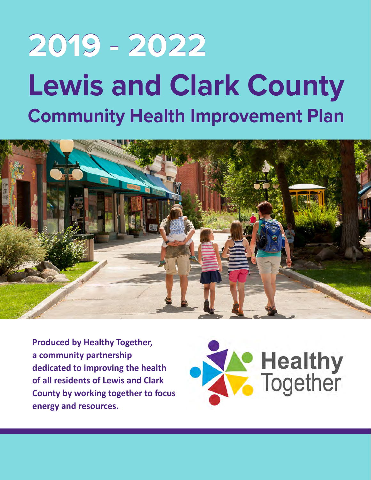# **2019 - 2022 Lewis and Clark County Community Health Improvement Plan**



**Produced by Healthy Together, a community partnership dedicated to improving the health of all residents of Lewis and Clark County by working together to focus energy and resources.**

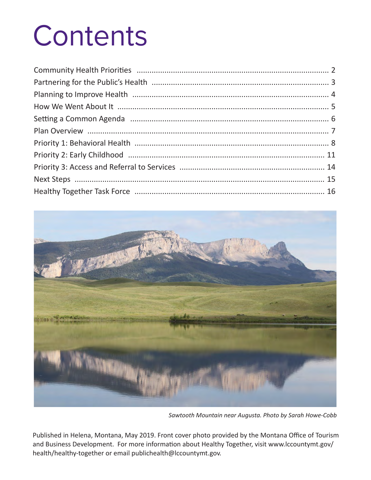# **Contents**



*Sawtooth Mountain near Augusta. Photo by Sarah Howe-Cobb*

Published in Helena, Montana, May 2019. Front cover photo provided by the Montana Office of Tourism and Business Development. For more information about Healthy Together, visit www.lccountymt.gov/ health/healthy-together or email publichealth@lccountymt.gov.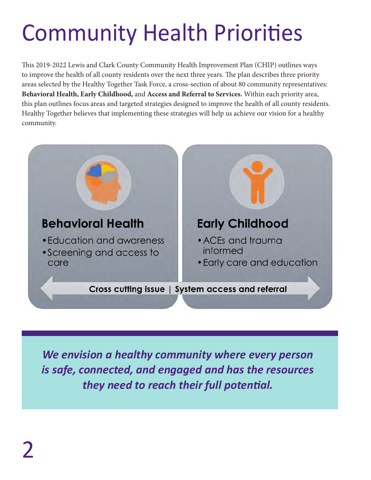# Community Health Priorities

This 2019-2022 Lewis and Clark County Community Health Improvement Plan (CHIP) outlines ways to improve the health of all county residents over the next three years. The plan describes three priority areas selected by the Healthy Together Task Force, a cross-section of about 80 community representatives: **Behavioral Health, Early Childhood,** and **Access and Referral to Services.** Within each priority area, this plan outlines focus areas and targeted strategies designed to improve the health of all county residents. Healthy Together believes that implementing these strategies will help us achieve our vision for a healthy community.



*We envision a healthy community where every person is safe, connected, and engaged and has the resources they need to reach their full potential.*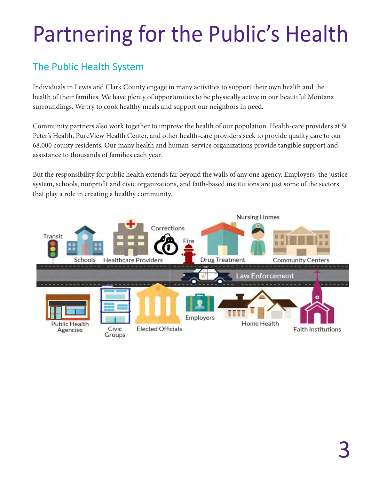## Partnering for the Public's Health

#### The Public Health System

Individuals in Lewis and Clark County engage in many activities to support their own health and the health of their families. We have plenty of opportunities to be physically active in our beautiful Montana surroundings. We try to cook healthy meals and support our neighbors in need.

Community partners also work together to improve the health of our population. Health-care providers at St. Peter's Health, PureView Health Center, and other health-care providers seek to provide quality care to our 68,000 county residents. Our many health and human-service organizations provide tangible support and assistance to thousands of families each year.

But the responsibility for public health extends far beyond the walls of any one agency. Employers, the justice system, schools, nonprofit and civic organizations, and faith-based institutions are just some of the sectors that play a role in creating a healthy community.

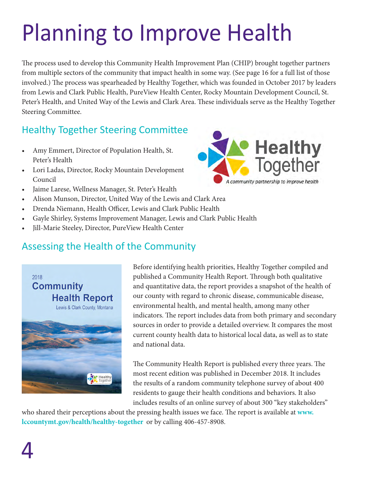## Planning to Improve Health

The process used to develop this Community Health Improvement Plan (CHIP) brought together partners from multiple sectors of the community that impact health in some way. (See page 16 for a full list of those involved.) The process was spearheaded by Healthy Together, which was founded in October 2017 by leaders from Lewis and Clark Public Health, PureView Health Center, Rocky Mountain Development Council, St. Peter's Health, and United Way of the Lewis and Clark Area. These individuals serve as the Healthy Together Steering Committee.

#### Healthy Together Steering Committee

- • Amy Emmert, Director of Population Health, St. Peter's Health
- • Lori Ladas, Director, Rocky Mountain Development Council
- • Jaime Larese, Wellness Manager, St. Peter's Health
- Alison Munson, Director, United Way of the Lewis and Clark Area
- • Drenda Niemann, Health Officer, Lewis and Clark Public Health
- Gayle Shirley, Systems Improvement Manager, Lewis and Clark Public Health
- Jill-Marie Steeley, Director, PureView Health Center

#### Assessing the Health of the Community



Before identifying health priorities, Healthy Together compiled and published a Community Health Report. Through both qualitative and quantitative data, the report provides a snapshot of the health of our county with regard to chronic disease, communicable disease, environmental health, and mental health, among many other indicators. The report includes data from both primary and secondary sources in order to provide a detailed overview. It compares the most current county health data to historical local data, as well as to state and national data.

The Community Health Report is published every three years. The most recent edition was published in December 2018. It includes the results of a random community telephone survey of about 400 residents to gauge their health conditions and behaviors. It also includes results of an online survey of about 300 "key stakeholders"

who shared their perceptions about the pressing health issues we face. The report is available at **www. lccountymt.gov/health/healthy-together** or by calling 406-457-8908.

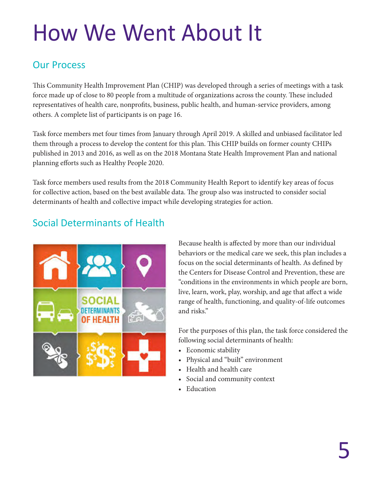### How We Went About It

#### Our Process

This Community Health Improvement Plan (CHIP) was developed through a series of meetings with a task force made up of close to 80 people from a multitude of organizations across the county. These included representatives of health care, nonprofits, business, public health, and human-service providers, among others. A complete list of participants is on page 16.

Task force members met four times from January through April 2019. A skilled and unbiased facilitator led them through a process to develop the content for this plan. This CHIP builds on former county CHIPs published in 2013 and 2016, as well as on the 2018 Montana State Health Improvement Plan and national planning efforts such as Healthy People 2020.

Task force members used results from the 2018 Community Health Report to identify key areas of focus for collective action, based on the best available data. The group also was instructed to consider social determinants of health and collective impact while developing strategies for action.

### Social Determinants of Health



Because health is affected by more than our individual behaviors or the medical care we seek, this plan includes a focus on the social determinants of health. As defined by the Centers for Disease Control and Prevention, these are "conditions in the environments in which people are born, live, learn, work, play, worship, and age that affect a wide range of health, functioning, and quality-of-life outcomes and risks."

For the purposes of this plan, the task force considered the following social determinants of health:

- Economic stability
- Physical and "built" environment
- Health and health care
- Social and community context
- Education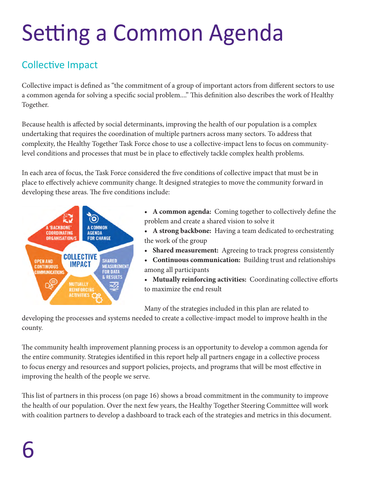# Setting a Common Agenda

#### Collective Impact

Collective impact is defined as "the commitment of a group of important actors from different sectors to use a common agenda for solving a specific social problem...." This definition also describes the work of Healthy Together.

Because health is affected by social determinants, improving the health of our population is a complex undertaking that requires the coordination of multiple partners across many sectors. To address that complexity, the Healthy Together Task Force chose to use a collective-impact lens to focus on communitylevel conditions and processes that must be in place to effectively tackle complex health problems.

In each area of focus, the Task Force considered the five conditions of collective impact that must be in place to effectively achieve community change. It designed strategies to move the community forward in developing these areas. The five conditions include:



- **• A common agenda:** Coming together to collectively define the problem and create a shared vision to solve it
- **A strong backbone:** Having a team dedicated to orchestrating the work of the group
- **• Shared measurement:** Agreeing to track progress consistently
- **• Continuous communication:** Building trust and relationships among all participants
- **• Mutually reinforcing activities:** Coordinating collective efforts to maximize the end result

Many of the strategies included in this plan are related to

developing the processes and systems needed to create a collective-impact model to improve health in the county.

The community health improvement planning process is an opportunity to develop a common agenda for the entire community. Strategies identified in this report help all partners engage in a collective process to focus energy and resources and support policies, projects, and programs that will be most effective in improving the health of the people we serve.

This list of partners in this process (on page 16) shows a broad commitment in the community to improve the health of our population. Over the next few years, the Healthy Together Steering Committee will work with coalition partners to develop a dashboard to track each of the strategies and metrics in this document.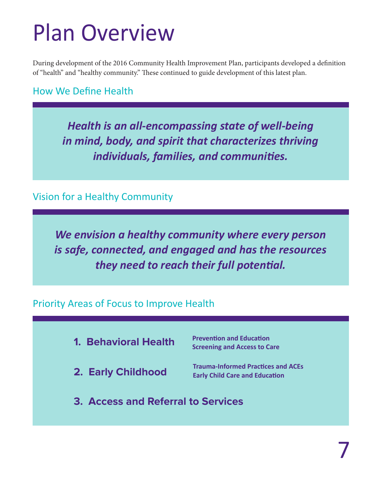### Plan Overview

During development of the 2016 Community Health Improvement Plan, participants developed a definition of "health" and "healthy community." These continued to guide development of this latest plan.

How We Define Health

*Health is an all-encompassing state of well-being in mind, body, and spirit that characterizes thriving individuals, families, and communities.*

Vision for a Healthy Community

*We envision a healthy community where every person is safe, connected, and engaged and has the resources they need to reach their full potential.*

Priority Areas of Focus to Improve Health

- **Prevention and Education Screening and Access to Care 1. Behavioral Health**
- **2. Early Childhood**

**Trauma-Informed Practices and ACEs Early Child Care and Education**

**3. Access and Referral to Services**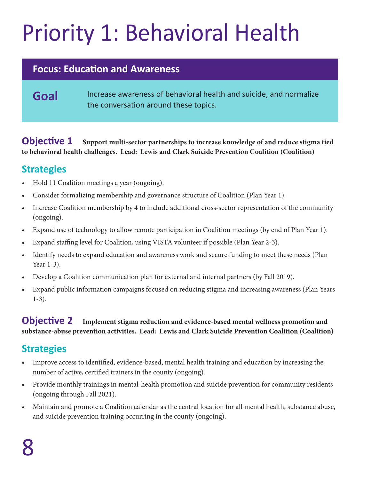# Priority 1: Behavioral Health

#### **Focus: Education and Awareness**

#### Goal Increase awareness of behavioral health and suicide, and normalize the conversation around these topics.

**Objective 1** Support multi-sector partnerships to increase knowledge of and reduce stigma tied **to behavioral health challenges. Lead: Lewis and Clark Suicide Prevention Coalition (Coalition)**

#### **Strategies**

- Hold 11 Coalition meetings a year (ongoing).
- Consider formalizing membership and governance structure of Coalition (Plan Year 1).
- Increase Coalition membership by 4 to include additional cross-sector representation of the community (ongoing).
- • Expand use of technology to allow remote participation in Coalition meetings (by end of Plan Year 1).
- • Expand staffing level for Coalition, using VISTA volunteer if possible (Plan Year 2-3).
- Identify needs to expand education and awareness work and secure funding to meet these needs (Plan Year 1-3).
- Develop a Coalition communication plan for external and internal partners (by Fall 2019).
- Expand public information campaigns focused on reducing stigma and increasing awareness (Plan Years 1-3).

#### **Objective 2 Implement stigma reduction and evidence-based mental wellness promotion and substance-abuse prevention activities. Lead: Lewis and Clark Suicide Prevention Coalition (Coalition)**

#### **Strategies**

- Improve access to identified, evidence-based, mental health training and education by increasing the number of active, certified trainers in the county (ongoing).
- • Provide monthly trainings in mental-health promotion and suicide prevention for community residents (ongoing through Fall 2021).
- Maintain and promote a Coalition calendar as the central location for all mental health, substance abuse, and suicide prevention training occurring in the county (ongoing).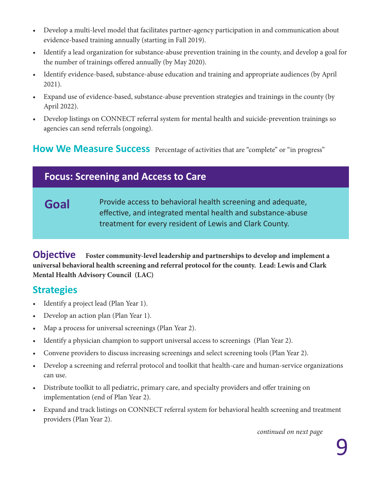- • Develop a multi-level model that facilitates partner-agency participation in and communication about evidence-based training annually (starting in Fall 2019).
- Identify a lead organization for substance-abuse prevention training in the county, and develop a goal for the number of trainings offered annually (by May 2020).
- Identify evidence-based, substance-abuse education and training and appropriate audiences (by April 2021).
- Expand use of evidence-based, substance-abuse prevention strategies and trainings in the county (by April 2022).
- • Develop listings on CONNECT referral system for mental health and suicide-prevention trainings so agencies can send referrals (ongoing).

#### **How We Measure Success** Percentage of activities that are "complete" or "in progress"

#### **Focus: Screening and Access to Care**

Goal Provide access to behavioral health screening and adequate, effective, and integrated mental health and substance-abuse treatment for every resident of Lewis and Clark County.

**Objective Foster community-level leadership and partnerships to develop and implement a universal behavioral health screening and referral protocol for the county. Lead: Lewis and Clark Mental Health Advisory Council (LAC)**

#### **Strategies**

- Identify a project lead (Plan Year 1).
- Develop an action plan (Plan Year 1).
- Map a process for universal screenings (Plan Year 2).
- Identify a physician champion to support universal access to screenings (Plan Year 2).
- Convene providers to discuss increasing screenings and select screening tools (Plan Year 2).
- Develop a screening and referral protocol and toolkit that health-care and human-service organizations can use.
- Distribute toolkit to all pediatric, primary care, and specialty providers and offer training on implementation (end of Plan Year 2).
- Expand and track listings on CONNECT referral system for behavioral health screening and treatment providers (Plan Year 2).

*continued on next page*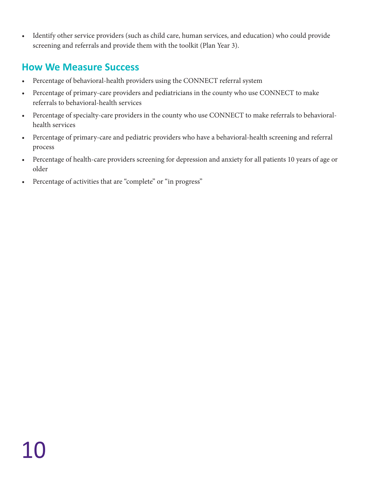• Identify other service providers (such as child care, human services, and education) who could provide screening and referrals and provide them with the toolkit (Plan Year 3).

#### **How We Measure Success**

- Percentage of behavioral-health providers using the CONNECT referral system
- Percentage of primary-care providers and pediatricians in the county who use CONNECT to make referrals to behavioral-health services
- • Percentage of specialty-care providers in the county who use CONNECT to make referrals to behavioralhealth services
- • Percentage of primary-care and pediatric providers who have a behavioral-health screening and referral process
- Percentage of health-care providers screening for depression and anxiety for all patients 10 years of age or older
- • Percentage of activities that are "complete" or "in progress"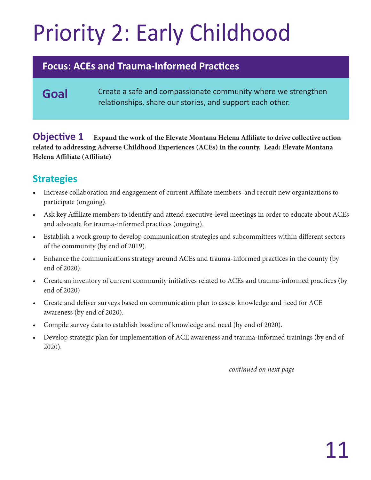# Priority 2: Early Childhood

#### **Focus: ACEs and Trauma-Informed Practices**

#### Goal **Create a safe and compassionate community where we strengthen** relationships, share our stories, and support each other.

**Objective 1** Expand the work of the Elevate Montana Helena Affiliate to drive collective action **related to addressing Adverse Childhood Experiences (ACEs) in the county. Lead: Elevate Montana Helena Affiliate (Affiliate)**

#### **Strategies**

- Increase collaboration and engagement of current Affiliate members and recruit new organizations to participate (ongoing).
- Ask key Affiliate members to identify and attend executive-level meetings in order to educate about ACEs and advocate for trauma-informed practices (ongoing).
- Establish a work group to develop communication strategies and subcommittees within different sectors of the community (by end of 2019).
- Enhance the communications strategy around ACEs and trauma-informed practices in the county (by end of 2020).
- • Create an inventory of current community initiatives related to ACEs and trauma-informed practices (by end of 2020)
- Create and deliver surveys based on communication plan to assess knowledge and need for ACE awareness (by end of 2020).
- Compile survey data to establish baseline of knowledge and need (by end of 2020).
- Develop strategic plan for implementation of ACE awareness and trauma-informed trainings (by end of 2020).

*continued on next page*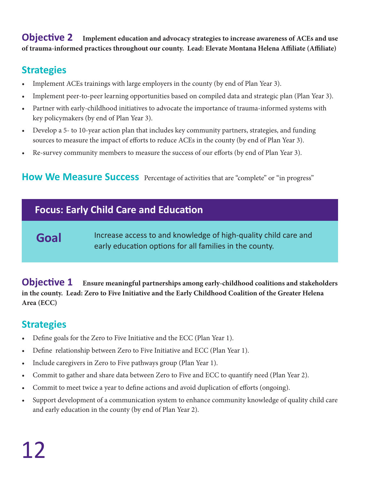**Objective 2 Implement education and advocacy strategies to increase awareness of ACEs and use of trauma-informed practices throughout our county. Lead: Elevate Montana Helena Affiliate (Affiliate)**

#### **Strategies**

- Implement ACEs trainings with large employers in the county (by end of Plan Year 3).
- Implement peer-to-peer learning opportunities based on compiled data and strategic plan (Plan Year 3).
- Partner with early-childhood initiatives to advocate the importance of trauma-informed systems with key policymakers (by end of Plan Year 3).
- Develop a 5- to 10-year action plan that includes key community partners, strategies, and funding sources to measure the impact of efforts to reduce ACEs in the county (by end of Plan Year 3).
- Re-survey community members to measure the success of our efforts (by end of Plan Year 3).

#### **How We Measure Success** Percentage of activities that are "complete" or "in progress"

#### **Focus: Early Child Care and Education**

#### **Goal**

Increase access to and knowledge of high-quality child care and early education options for all families in the county.

**Objective 1** Ensure meaningful partnerships among early-childhood coalitions and stakeholders **in the county. Lead: Zero to Five Initiative and the Early Childhood Coalition of the Greater Helena Area (ECC)**

#### **Strategies**

- Define goals for the Zero to Five Initiative and the ECC (Plan Year 1).
- Define relationship between Zero to Five Initiative and ECC (Plan Year 1).
- Include caregivers in Zero to Five pathways group (Plan Year 1).
- Commit to gather and share data between Zero to Five and ECC to quantify need (Plan Year 2).
- • Commit to meet twice a year to define actions and avoid duplication of efforts (ongoing).
- Support development of a communication system to enhance community knowledge of quality child care and early education in the county (by end of Plan Year 2).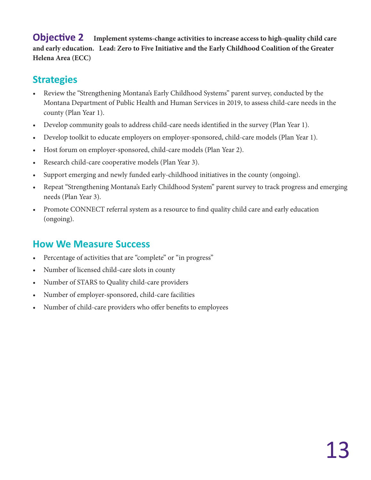**Objective 2 Implement systems-change activities to increase access to high-quality child care and early education. Lead: Zero to Five Initiative and the Early Childhood Coalition of the Greater Helena Area (ECC)**

#### **Strategies**

- Review the "Strengthening Montana's Early Childhood Systems" parent survey, conducted by the Montana Department of Public Health and Human Services in 2019, to assess child-care needs in the county (Plan Year 1).
- Develop community goals to address child-care needs identified in the survey (Plan Year 1).
- Develop toolkit to educate employers on employer-sponsored, child-care models (Plan Year 1).
- Host forum on employer-sponsored, child-care models (Plan Year 2).
- Research child-care cooperative models (Plan Year 3).
- Support emerging and newly funded early-childhood initiatives in the county (ongoing).
- Repeat "Strengthening Montana's Early Childhood System" parent survey to track progress and emerging needs (Plan Year 3).
- Promote CONNECT referral system as a resource to find quality child care and early education (ongoing).

#### **How We Measure Success**

- Percentage of activities that are "complete" or "in progress"
- Number of licensed child-care slots in county
- • Number of STARS to Quality child-care providers
- • Number of employer-sponsored, child-care facilities
- Number of child-care providers who offer benefits to employees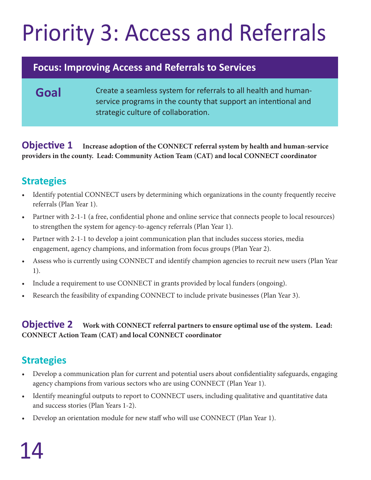# Priority 3: Access and Referrals

#### **Focus: Improving Access and Referrals to Services**

Goal **Create a seamless system for referrals to all health and human**service programs in the county that support an intentional and strategic culture of collaboration.

**Objective 1 Increase adoption of the CONNECT referral system by health and human-service providers in the county. Lead: Community Action Team (CAT) and local CONNECT coordinator**

#### **Strategies**

- Identify potential CONNECT users by determining which organizations in the county frequently receive referrals (Plan Year 1).
- Partner with 2-1-1 (a free, confidential phone and online service that connects people to local resources) to strengthen the system for agency-to-agency referrals (Plan Year 1).
- Partner with 2-1-1 to develop a joint communication plan that includes success stories, media engagement, agency champions, and information from focus groups (Plan Year 2).
- Assess who is currently using CONNECT and identify champion agencies to recruit new users (Plan Year 1).
- Include a requirement to use CONNECT in grants provided by local funders (ongoing).
- Research the feasibility of expanding CONNECT to include private businesses (Plan Year 3).

#### **Objective 2** Work with CONNECT referral partners to ensure optimal use of the system. Lead: **CONNECT Action Team (CAT) and local CONNECT coordinator**

#### **Strategies**

- Develop a communication plan for current and potential users about confidentiality safeguards, engaging agency champions from various sectors who are using CONNECT (Plan Year 1).
- Identify meaningful outputs to report to CONNECT users, including qualitative and quantitative data and success stories (Plan Years 1-2).
- • Develop an orientation module for new staff who will use CONNECT (Plan Year 1).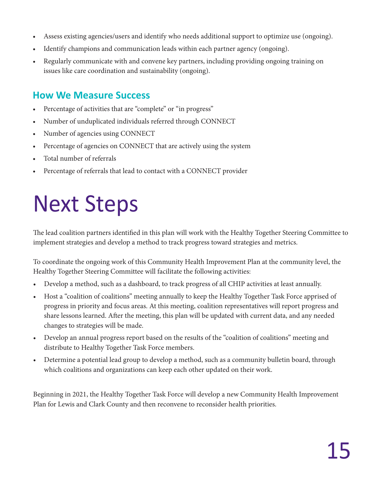- Assess existing agencies/users and identify who needs additional support to optimize use (ongoing).
- Identify champions and communication leads within each partner agency (ongoing).
- Regularly communicate with and convene key partners, including providing ongoing training on issues like care coordination and sustainability (ongoing).

#### **How We Measure Success**

- Percentage of activities that are "complete" or "in progress"
- Number of unduplicated individuals referred through CONNECT
- Number of agencies using CONNECT
- Percentage of agencies on CONNECT that are actively using the system
- Total number of referrals
- Percentage of referrals that lead to contact with a CONNECT provider

### Next Steps

The lead coalition partners identified in this plan will work with the Healthy Together Steering Committee to implement strategies and develop a method to track progress toward strategies and metrics.

To coordinate the ongoing work of this Community Health Improvement Plan at the community level, the Healthy Together Steering Committee will facilitate the following activities:

- Develop a method, such as a dashboard, to track progress of all CHIP activities at least annually.
- Host a "coalition of coalitions" meeting annually to keep the Healthy Together Task Force apprised of progress in priority and focus areas. At this meeting, coalition representatives will report progress and share lessons learned. After the meeting, this plan will be updated with current data, and any needed changes to strategies will be made.
- Develop an annual progress report based on the results of the "coalition of coalitions" meeting and distribute to Healthy Together Task Force members.
- Determine a potential lead group to develop a method, such as a community bulletin board, through which coalitions and organizations can keep each other updated on their work.

Beginning in 2021, the Healthy Together Task Force will develop a new Community Health Improvement Plan for Lewis and Clark County and then reconvene to reconsider health priorities.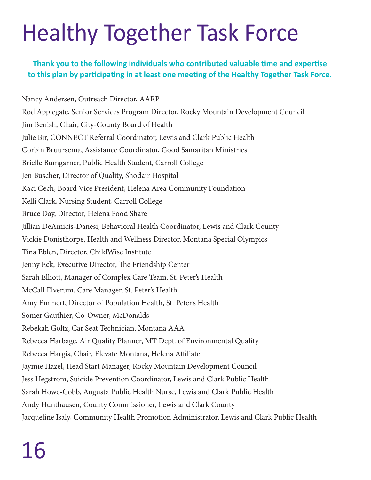### Healthy Together Task Force

**Thank you to the following individuals who contributed valuable time and expertise to this plan by participating in at least one meeting of the Healthy Together Task Force.**

Nancy Andersen, Outreach Director, AARP Rod Applegate, Senior Services Program Director, Rocky Mountain Development Council Jim Benish, Chair, City-County Board of Health Julie Bir, CONNECT Referral Coordinator, Lewis and Clark Public Health Corbin Bruursema, Assistance Coordinator, Good Samaritan Ministries Brielle Bumgarner, Public Health Student, Carroll College Jen Buscher, Director of Quality, Shodair Hospital Kaci Cech, Board Vice President, Helena Area Community Foundation Kelli Clark, Nursing Student, Carroll College Bruce Day, Director, Helena Food Share Jillian DeAmicis-Danesi, Behavioral Health Coordinator, Lewis and Clark County Vickie Donisthorpe, Health and Wellness Director, Montana Special Olympics Tina Eblen, Director, ChildWise Institute Jenny Eck, Executive Director, The Friendship Center Sarah Elliott, Manager of Complex Care Team, St. Peter's Health McCall Elverum, Care Manager, St. Peter's Health Amy Emmert, Director of Population Health, St. Peter's Health Somer Gauthier, Co-Owner, McDonalds Rebekah Goltz, Car Seat Technician, Montana AAA Rebecca Harbage, Air Quality Planner, MT Dept. of Environmental Quality Rebecca Hargis, Chair, Elevate Montana, Helena Affiliate Jaymie Hazel, Head Start Manager, Rocky Mountain Development Council Jess Hegstrom, Suicide Prevention Coordinator, Lewis and Clark Public Health Sarah Howe-Cobb, Augusta Public Health Nurse, Lewis and Clark Public Health Andy Hunthausen, County Commissioner, Lewis and Clark County Jacqueline Isaly, Community Health Promotion Administrator, Lewis and Clark Public Health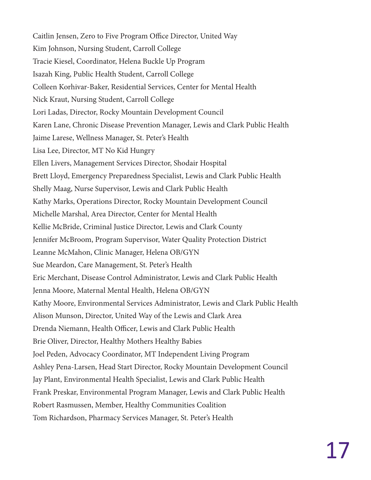Caitlin Jensen, Zero to Five Program Office Director, United Way Kim Johnson, Nursing Student, Carroll College Tracie Kiesel, Coordinator, Helena Buckle Up Program Isazah King, Public Health Student, Carroll College Colleen Korhivar-Baker, Residential Services, Center for Mental Health Nick Kraut, Nursing Student, Carroll College Lori Ladas, Director, Rocky Mountain Development Council Karen Lane, Chronic Disease Prevention Manager, Lewis and Clark Public Health Jaime Larese, Wellness Manager, St. Peter's Health Lisa Lee, Director, MT No Kid Hungry Ellen Livers, Management Services Director, Shodair Hospital Brett Lloyd, Emergency Preparedness Specialist, Lewis and Clark Public Health Shelly Maag, Nurse Supervisor, Lewis and Clark Public Health Kathy Marks, Operations Director, Rocky Mountain Development Council Michelle Marshal, Area Director, Center for Mental Health Kellie McBride, Criminal Justice Director, Lewis and Clark County Jennifer McBroom, Program Supervisor, Water Quality Protection District Leanne McMahon, Clinic Manager, Helena OB/GYN Sue Meardon, Care Management, St. Peter's Health Eric Merchant, Disease Control Administrator, Lewis and Clark Public Health Jenna Moore, Maternal Mental Health, Helena OB/GYN Kathy Moore, Environmental Services Administrator, Lewis and Clark Public Health Alison Munson, Director, United Way of the Lewis and Clark Area Drenda Niemann, Health Officer, Lewis and Clark Public Health Brie Oliver, Director, Healthy Mothers Healthy Babies Joel Peden, Advocacy Coordinator, MT Independent Living Program Ashley Pena-Larsen, Head Start Director, Rocky Mountain Development Council Jay Plant, Environmental Health Specialist, Lewis and Clark Public Health Frank Preskar, Environmental Program Manager, Lewis and Clark Public Health Robert Rasmussen, Member, Healthy Communities Coalition Tom Richardson, Pharmacy Services Manager, St. Peter's Health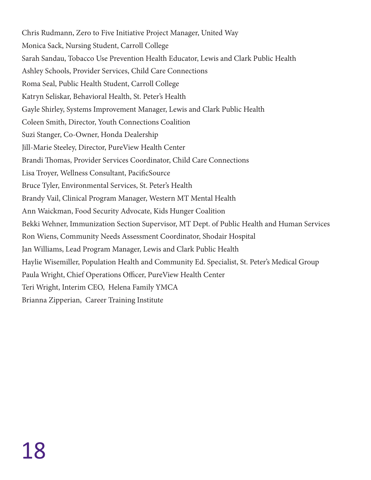Chris Rudmann, Zero to Five Initiative Project Manager, United Way Monica Sack, Nursing Student, Carroll College Sarah Sandau, Tobacco Use Prevention Health Educator, Lewis and Clark Public Health Ashley Schools, Provider Services, Child Care Connections Roma Seal, Public Health Student, Carroll College Katryn Seliskar, Behavioral Health, St. Peter's Health Gayle Shirley, Systems Improvement Manager, Lewis and Clark Public Health Coleen Smith, Director, Youth Connections Coalition Suzi Stanger, Co-Owner, Honda Dealership Jill-Marie Steeley, Director, PureView Health Center Brandi Thomas, Provider Services Coordinator, Child Care Connections Lisa Troyer, Wellness Consultant, PacificSource Bruce Tyler, Environmental Services, St. Peter's Health Brandy Vail, Clinical Program Manager, Western MT Mental Health Ann Waickman, Food Security Advocate, Kids Hunger Coalition Bekki Wehner, Immunization Section Supervisor, MT Dept. of Public Health and Human Services Ron Wiens, Community Needs Assessment Coordinator, Shodair Hospital Jan Williams, Lead Program Manager, Lewis and Clark Public Health Haylie Wisemiller, Population Health and Community Ed. Specialist, St. Peter's Medical Group Paula Wright, Chief Operations Officer, PureView Health Center Teri Wright, Interim CEO, Helena Family YMCA Brianna Zipperian, Career Training Institute